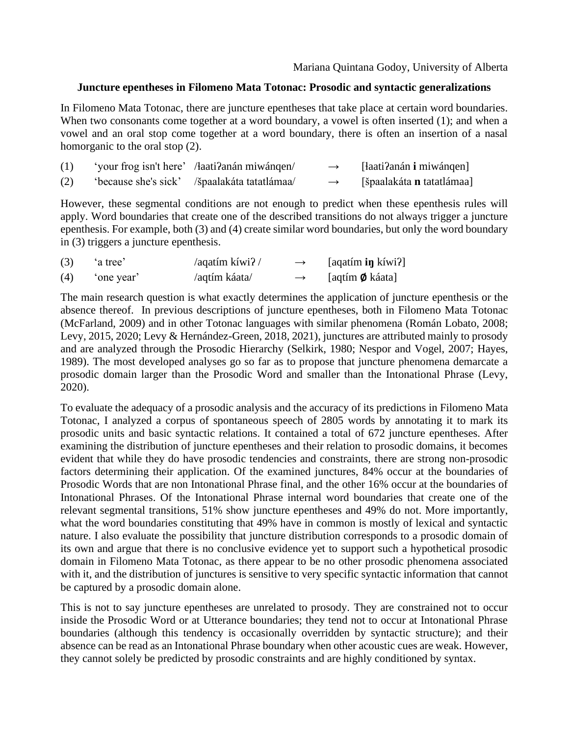## **Juncture epentheses in Filomeno Mata Totonac: Prosodic and syntactic generalizations**

In Filomeno Mata Totonac, there are juncture epentheses that take place at certain word boundaries. When two consonants come together at a word boundary, a vowel is often inserted (1); and when a vowel and an oral stop come together at a word boundary, there is often an insertion of a nasal homorganic to the oral stop (2).

| (1) | 'your frog isn't here' /łaati?anán miwángen/ | $\rightarrow$ | [łaati?anán i miwánqen]          |
|-----|----------------------------------------------|---------------|----------------------------------|
| (2) | 'because she's sick' /špaalakáta tatatlámaa/ | $\rightarrow$ | [špaalakáta <b>n</b> tatatlámaa] |

However, these segmental conditions are not enough to predict when these epenthesis rules will apply. Word boundaries that create one of the described transitions do not always trigger a juncture epenthesis. For example, both (3) and (4) create similar word boundaries, but only the word boundary in (3) triggers a juncture epenthesis.

| (3) | 'a tree'   | /aqatím kíwi? / | $\rightarrow$ | [aqatím <b>in</b> kíwi?]  |
|-----|------------|-----------------|---------------|---------------------------|
| (4) | 'one year' | /aqtím káata/   | $\rightarrow$ | [aqtím $\emptyset$ káata] |

The main research question is what exactly determines the application of juncture epenthesis or the absence thereof. In previous descriptions of juncture epentheses, both in Filomeno Mata Totonac (McFarland, 2009) and in other Totonac languages with similar phenomena (Román Lobato, 2008; Levy, 2015, 2020; Levy & Hernández-Green, 2018, 2021), junctures are attributed mainly to prosody and are analyzed through the Prosodic Hierarchy (Selkirk, 1980; Nespor and Vogel, 2007; Hayes, 1989). The most developed analyses go so far as to propose that juncture phenomena demarcate a prosodic domain larger than the Prosodic Word and smaller than the Intonational Phrase (Levy, 2020).

To evaluate the adequacy of a prosodic analysis and the accuracy of its predictions in Filomeno Mata Totonac, I analyzed a corpus of spontaneous speech of 2805 words by annotating it to mark its prosodic units and basic syntactic relations. It contained a total of 672 juncture epentheses. After examining the distribution of juncture epentheses and their relation to prosodic domains, it becomes evident that while they do have prosodic tendencies and constraints, there are strong non-prosodic factors determining their application. Of the examined junctures, 84% occur at the boundaries of Prosodic Words that are non Intonational Phrase final, and the other 16% occur at the boundaries of Intonational Phrases. Of the Intonational Phrase internal word boundaries that create one of the relevant segmental transitions, 51% show juncture epentheses and 49% do not. More importantly, what the word boundaries constituting that 49% have in common is mostly of lexical and syntactic nature. I also evaluate the possibility that juncture distribution corresponds to a prosodic domain of its own and argue that there is no conclusive evidence yet to support such a hypothetical prosodic domain in Filomeno Mata Totonac, as there appear to be no other prosodic phenomena associated with it, and the distribution of junctures is sensitive to very specific syntactic information that cannot be captured by a prosodic domain alone.

This is not to say juncture epentheses are unrelated to prosody. They are constrained not to occur inside the Prosodic Word or at Utterance boundaries; they tend not to occur at Intonational Phrase boundaries (although this tendency is occasionally overridden by syntactic structure); and their absence can be read as an Intonational Phrase boundary when other acoustic cues are weak. However, they cannot solely be predicted by prosodic constraints and are highly conditioned by syntax.